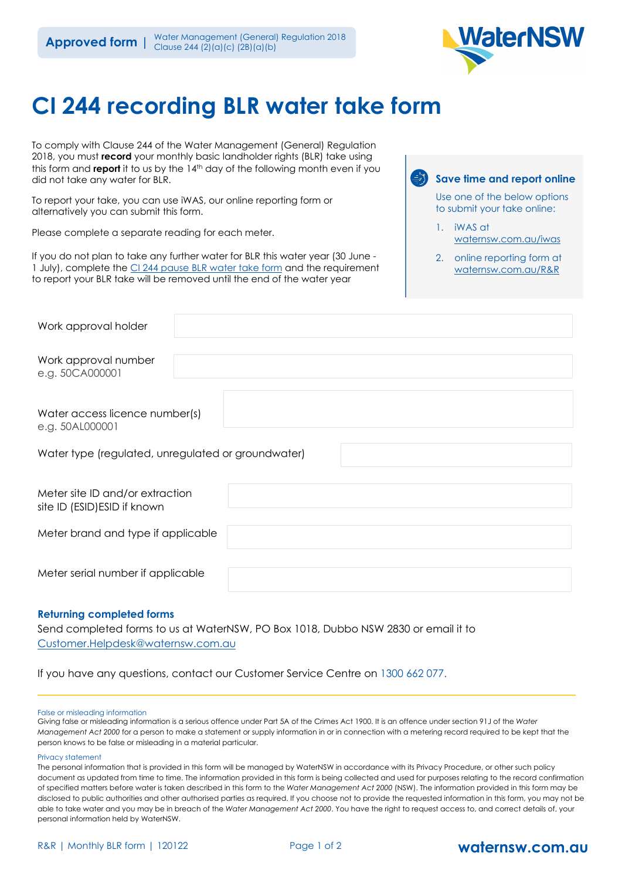

# **CI 244 recording BLR water take form**

To comply with Clause 244 of the Water Management (General) Regulation 2018, you must **record** your monthly basic landholder rights (BLR) take using this form and **report** it to us by the 14<sup>th</sup> day of the following month even if you did not take any water for BLR.

To report your take, you can use iWAS, our online reporting form or alternatively you can submit this form.

Please complete a separate reading for each meter.

If you do not plan to take any further water for BLR this water year (30 June - 1 July), complete the [CI 244 pause BLR water take form](chrome-extension://efaidnbmnnnibpcajpcglclefindmkaj/viewer.html?pdfurl=https%3A%2F%2Fwww.waternsw.com.au%2F__data%2Fassets%2Fpdf_file%2F0008%2F217691%2FConfirm-intention-to-not-take-licensed-water-for-up-to-six-months.pdf) and the requirement to report your BLR take will be removed until the end of the water year

## **Save time and report online**

Use one of the below options to submit your take online:

- 1. iWAS at [waternsw.com.au/iwas](https://www.waternsw.com.au/customer-service/ordering-trading-and-pricing/ordering/iwas)
- 2. online reporting form at waternsw.com.au/R&R

| Work approval holder                                            |  |
|-----------------------------------------------------------------|--|
| Work approval number<br>e.g. 50CA000001                         |  |
| Water access licence number(s)<br>e.g. 50AL000001               |  |
| Water type (regulated, unregulated or groundwater)              |  |
| Meter site ID and/or extraction<br>site ID (ESID) ESID if known |  |
| Meter brand and type if applicable                              |  |
| Meter serial number if applicable                               |  |

### **Returning completed forms**

Send completed forms to us at WaterNSW, PO Box 1018, Dubbo NSW 2830 or email it to [Customer.Helpdesk@waternsw.com.au](mailto:Customer.Helpdesk@waternsw.com.au)

If you have any questions, contact our Customer Service Centre on 1300 662 077.

#### False or misleading information

Giving false or misleading information is a serious offence under Part 5A of the Crimes Act 1900. It is an offence under section 91J of the *Water Management Act 2000* for a person to make a statement or supply information in or in connection with a metering record required to be kept that the person knows to be false or misleading in a material particular.

#### Privacy statement

The personal information that is provided in this form will be managed by WaterNSW in accordance with its Privacy Procedure, or other such policy document as updated from time to time. The information provided in this form is being collected and used for purposes relating to the record confirmation of specified matters before water is taken described in this form to the *Water Management Act 2000* (NSW). The information provided in this form may be disclosed to public authorities and other authorised parties as required. If you choose not to provide the requested information in this form, you may not be able to take water and you may be in breach of the *Water Management Act 2000*. You have the right to request access to, and correct details of, your personal information held by WaterNSW.